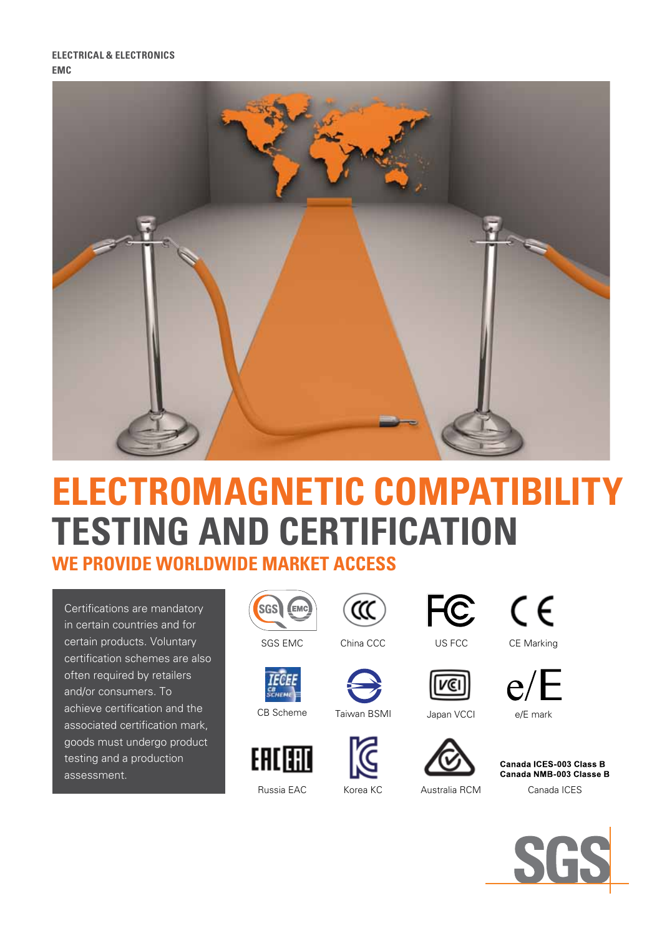

# **electromagnetic compatibility testing and certification WE PROVIDE WORLDWIDE MARKET ACCESS**

Certifications are mandatory in certain countries and for certain products. Voluntary certification schemes are also often required by retailers and/or consumers. To achieve certification and the associated certification mark, goods must undergo product testing and a production assessment.









**CB**<br>SCHEME



Russia EAC Korea KC Australia RCM

CB Scheme Taiwan BSMI





SGS EMC
China CCC
US FCC

US FCC

CE Marking

C

 $C \in$ 



Canada ICES-003 Class B Canada NMB-003 Classe B

Canada ICES



vcı